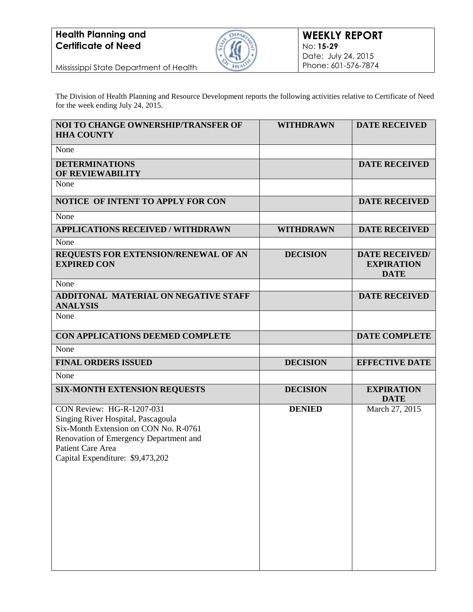

Mississippi State Department of Health

The Division of Health Planning and Resource Development reports the following activities relative to Certificate of Need for the week ending July 24, 2015.

| NOI TO CHANGE OWNERSHIP/TRANSFER OF<br><b>HHA COUNTY</b>       | <b>WITHDRAWN</b> | <b>DATE RECEIVED</b>                                      |
|----------------------------------------------------------------|------------------|-----------------------------------------------------------|
| None                                                           |                  |                                                           |
| <b>DETERMINATIONS</b><br>OF REVIEWABILITY                      |                  | <b>DATE RECEIVED</b>                                      |
| None                                                           |                  |                                                           |
| NOTICE OF INTENT TO APPLY FOR CON                              |                  | <b>DATE RECEIVED</b>                                      |
| None                                                           |                  |                                                           |
| <b>APPLICATIONS RECEIVED / WITHDRAWN</b>                       | <b>WITHDRAWN</b> | <b>DATE RECEIVED</b>                                      |
| None                                                           |                  |                                                           |
| REQUESTS FOR EXTENSION/RENEWAL OF AN<br><b>EXPIRED CON</b>     | <b>DECISION</b>  | <b>DATE RECEIVED/</b><br><b>EXPIRATION</b><br><b>DATE</b> |
| None                                                           |                  |                                                           |
| <b>ADDITONAL MATERIAL ON NEGATIVE STAFF</b><br><b>ANALYSIS</b> |                  | <b>DATE RECEIVED</b>                                      |
| None                                                           |                  |                                                           |
| CON APPLICATIONS DEEMED COMPLETE                               |                  | <b>DATE COMPLETE</b>                                      |
| None                                                           |                  |                                                           |
| <b>FINAL ORDERS ISSUED</b>                                     | <b>DECISION</b>  | <b>EFFECTIVE DATE</b>                                     |
| None                                                           |                  |                                                           |
| <b>SIX-MONTH EXTENSION REQUESTS</b>                            | <b>DECISION</b>  | <b>EXPIRATION</b><br><b>DATE</b>                          |
| CON Review: HG-R-1207-031                                      | <b>DENIED</b>    | March 27, 2015                                            |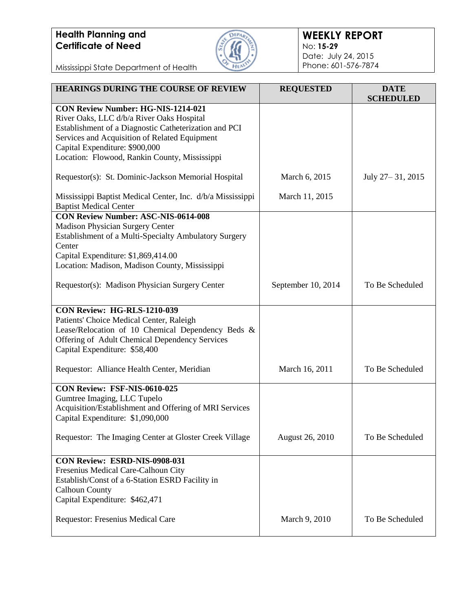

#### **WEEKLY REPORT** No: **15-29** Date: July 24, 2015 Phone: 601-576-7874

Mississippi State Department of Health

| <b>HEARINGS DURING THE COURSE OF REVIEW</b>                                                                                                                                                                                                                                         | <b>REQUESTED</b>       | <b>DATE</b><br><b>SCHEDULED</b> |
|-------------------------------------------------------------------------------------------------------------------------------------------------------------------------------------------------------------------------------------------------------------------------------------|------------------------|---------------------------------|
| <b>CON Review Number: HG-NIS-1214-021</b><br>River Oaks, LLC d/b/a River Oaks Hospital<br>Establishment of a Diagnostic Catheterization and PCI<br>Services and Acquisition of Related Equipment<br>Capital Expenditure: \$900,000<br>Location: Flowood, Rankin County, Mississippi |                        |                                 |
| Requestor(s): St. Dominic-Jackson Memorial Hospital                                                                                                                                                                                                                                 | March 6, 2015          | July 27-31, 2015                |
| Mississippi Baptist Medical Center, Inc. d/b/a Mississippi<br><b>Baptist Medical Center</b>                                                                                                                                                                                         | March 11, 2015         |                                 |
| <b>CON Review Number: ASC-NIS-0614-008</b><br><b>Madison Physician Surgery Center</b><br>Establishment of a Multi-Specialty Ambulatory Surgery<br>Center<br>Capital Expenditure: \$1,869,414.00<br>Location: Madison, Madison County, Mississippi                                   |                        |                                 |
| Requestor(s): Madison Physician Surgery Center                                                                                                                                                                                                                                      | September 10, 2014     | To Be Scheduled                 |
| <b>CON Review: HG-RLS-1210-039</b><br>Patients' Choice Medical Center, Raleigh<br>Lease/Relocation of 10 Chemical Dependency Beds &<br>Offering of Adult Chemical Dependency Services<br>Capital Expenditure: \$58,400                                                              |                        |                                 |
| Requestor: Alliance Health Center, Meridian                                                                                                                                                                                                                                         | March 16, 2011         | To Be Scheduled                 |
| CON Review: FSF-NIS-0610-025<br>Gumtree Imaging, LLC Tupelo<br>Acquisition/Establishment and Offering of MRI Services<br>Capital Expenditure: \$1,090,000                                                                                                                           |                        |                                 |
| Requestor: The Imaging Center at Gloster Creek Village                                                                                                                                                                                                                              | <b>August 26, 2010</b> | To Be Scheduled                 |
| CON Review: ESRD-NIS-0908-031<br>Fresenius Medical Care-Calhoun City<br>Establish/Const of a 6-Station ESRD Facility in<br><b>Calhoun County</b><br>Capital Expenditure: \$462,471                                                                                                  |                        |                                 |
| Requestor: Fresenius Medical Care                                                                                                                                                                                                                                                   | March 9, 2010          | To Be Scheduled                 |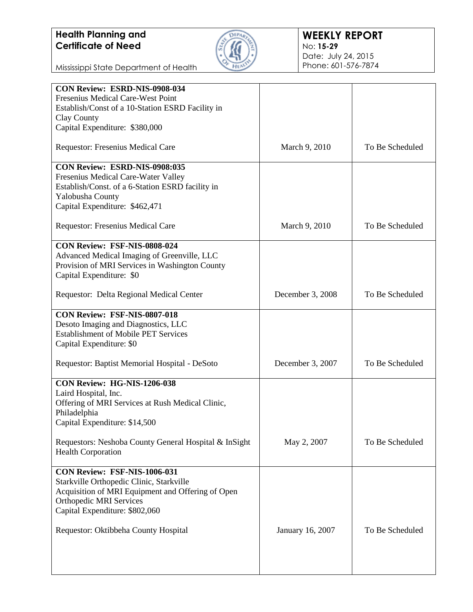

#### **WEEKLY REPORT** No: **15-29** Date: July 24, 2015 Phone: 601-576-7874

Mississippi State Department of Health

| CON Review: ESRD-NIS-0908-034                         |                  |                 |
|-------------------------------------------------------|------------------|-----------------|
| Fresenius Medical Care-West Point                     |                  |                 |
| Establish/Const of a 10-Station ESRD Facility in      |                  |                 |
| Clay County                                           |                  |                 |
| Capital Expenditure: \$380,000                        |                  |                 |
| Requestor: Fresenius Medical Care                     | March 9, 2010    | To Be Scheduled |
| CON Review: ESRD-NIS-0908:035                         |                  |                 |
| Fresenius Medical Care-Water Valley                   |                  |                 |
| Establish/Const. of a 6-Station ESRD facility in      |                  |                 |
| Yalobusha County                                      |                  |                 |
| Capital Expenditure: \$462,471                        |                  |                 |
| Requestor: Fresenius Medical Care                     | March 9, 2010    | To Be Scheduled |
| <b>CON Review: FSF-NIS-0808-024</b>                   |                  |                 |
| Advanced Medical Imaging of Greenville, LLC           |                  |                 |
| Provision of MRI Services in Washington County        |                  |                 |
| Capital Expenditure: \$0                              |                  |                 |
|                                                       |                  |                 |
| Requestor: Delta Regional Medical Center              | December 3, 2008 | To Be Scheduled |
| CON Review: FSF-NIS-0807-018                          |                  |                 |
| Desoto Imaging and Diagnostics, LLC                   |                  |                 |
| <b>Establishment of Mobile PET Services</b>           |                  |                 |
| Capital Expenditure: \$0                              |                  |                 |
| Requestor: Baptist Memorial Hospital - DeSoto         | December 3, 2007 | To Be Scheduled |
| CON Review: HG-NIS-1206-038                           |                  |                 |
| Laird Hospital, Inc.                                  |                  |                 |
| Offering of MRI Services at Rush Medical Clinic,      |                  |                 |
| Philadelphia                                          |                  |                 |
| Capital Expenditure: \$14,500                         |                  |                 |
|                                                       |                  |                 |
| Requestors: Neshoba County General Hospital & InSight | May 2, 2007      | To Be Scheduled |
| <b>Health Corporation</b>                             |                  |                 |
| <b>CON Review: FSF-NIS-1006-031</b>                   |                  |                 |
| Starkville Orthopedic Clinic, Starkville              |                  |                 |
| Acquisition of MRI Equipment and Offering of Open     |                  |                 |
| <b>Orthopedic MRI Services</b>                        |                  |                 |
| Capital Expenditure: \$802,060                        |                  |                 |
|                                                       |                  |                 |
| Requestor: Oktibbeha County Hospital                  | January 16, 2007 | To Be Scheduled |
|                                                       |                  |                 |
|                                                       |                  |                 |
|                                                       |                  |                 |